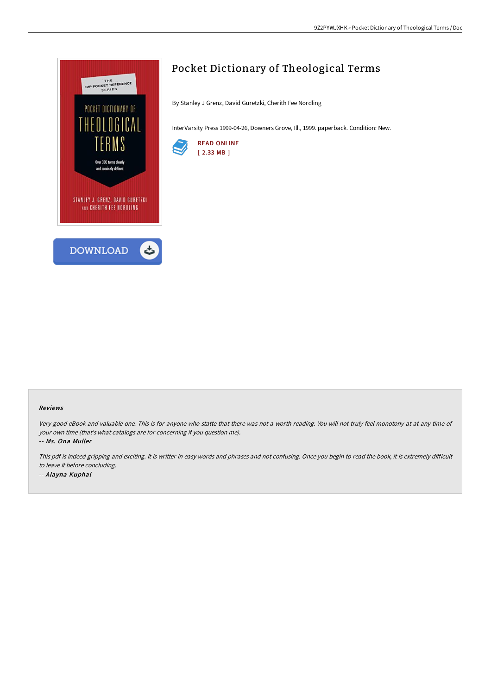

# Pocket Dictionary of Theological Terms

By Stanley J Grenz, David Guretzki, Cherith Fee Nordling

InterVarsity Press 1999-04-26, Downers Grove, Ill., 1999. paperback. Condition: New.



#### Reviews

Very good eBook and valuable one. This is for anyone who statte that there was not <sup>a</sup> worth reading. You will not truly feel monotony at at any time of your own time (that's what catalogs are for concerning if you question me).

-- Ms. Ona Muller

This pdf is indeed gripping and exciting. It is writter in easy words and phrases and not confusing. Once you begin to read the book, it is extremely difficult to leave it before concluding.

-- Alayna Kuphal